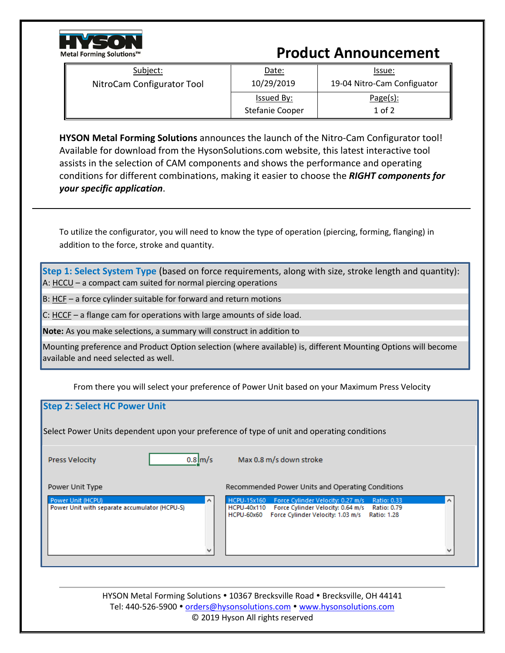

## **Product Announcement**

| Subject:                   | Date:           | Issue:                      |
|----------------------------|-----------------|-----------------------------|
| NitroCam Configurator Tool | 10/29/2019      | 19-04 Nitro-Cam Configuator |
|                            | Issued By:      | Page(s):                    |
|                            | Stefanie Cooper | $1$ of $2$                  |

**HYSON Metal Forming Solutions** announces the launch of the Nitro-Cam Configurator tool! Available for download from the HysonSolutions.com website, this latest interactive tool assists in the selection of CAM components and shows the performance and operating conditions for different combinations, making it easier to choose the *RIGHT components for your specific application*.

To utilize the configurator, you will need to know the type of operation (piercing, forming, flanging) in addition to the force, stroke and quantity.

**Step 1: Select System Type** (based on force requirements, along with size, stroke length and quantity): A: HCCU – a compact cam suited for normal piercing operations

B: HCF – a force cylinder suitable for forward and return motions

C: HCCF – a flange cam for operations with large amounts of side load.

**Note:** As you make selections, a summary will construct in addition to

Mounting preference and Product Option selection (where available) is, different Mounting Options will become available and need selected as well.

From there you will select your preference of Power Unit based on your Maximum Press Velocity

## **Step 2: Select HC Power Unit**

Select Power Units dependent upon your preference of type of unit and operating conditions

Press Velocity

|--|--|

Max 0.8 m/s down stroke

Power Unit Type

Power Unit (HCPU) Power Unit with separate accumulator (HCPU-S) Recommended Power Units and Operating Conditions

Force Cylinder Velocity: 0.27 m/s

HCPU-40x110 Force Cylinder Velocity: 0.64 m/s Ratio: 0.79

HCPU-60x60 Force Cylinder Velocity: 1.03 m/s Ratio: 1.28

HYSON Metal Forming Solutions • 10367 Brecksville Road • Brecksville, OH 44141 Tel: 440-526-5900 · [orders@hysonsolutions.com](mailto:orders@hysonsolutions.com) · [www.hysonsolutions.com](http://www.hysonsolutions.com/) © 2019 Hyson All rights reserved

HCPU-15x160